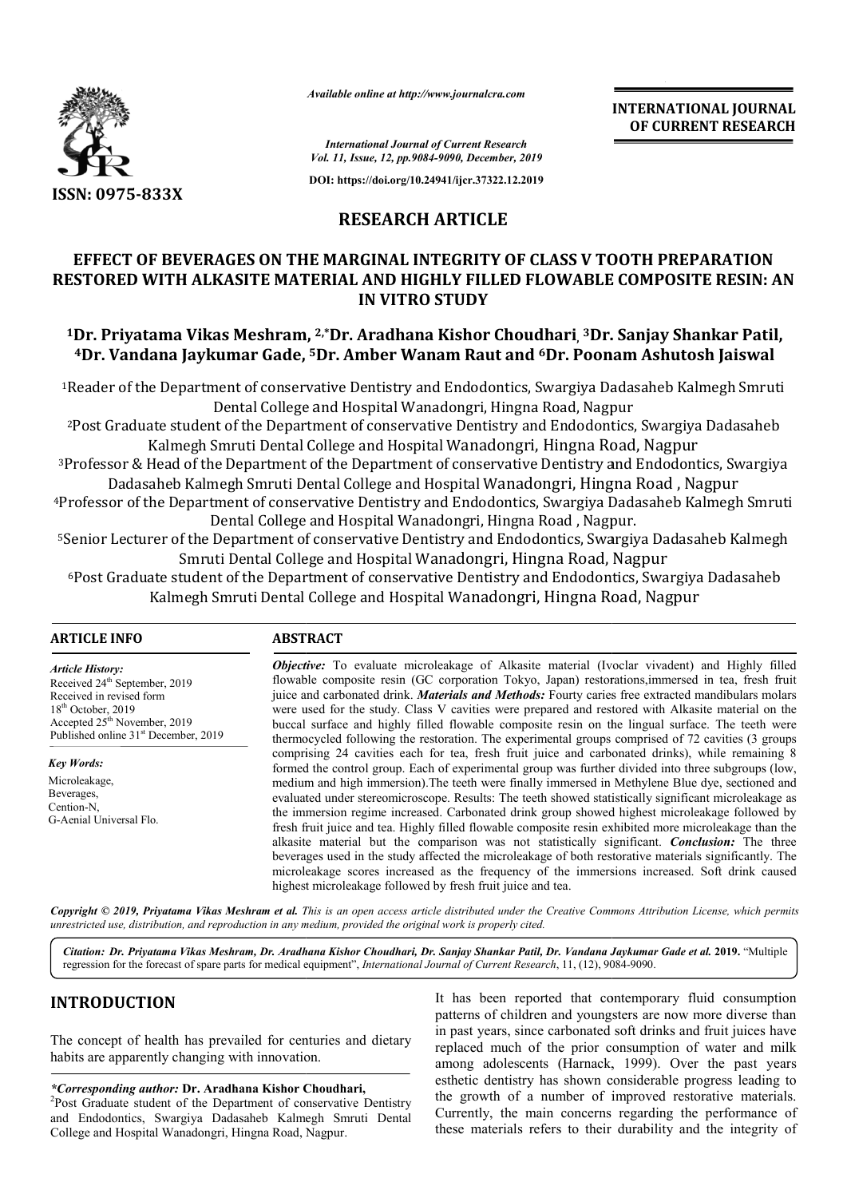

*Available online at http://www.journalcra.com*

**INTERNATIONAL JOURNAL OF CURRENT RESEARCH**

*International Journal of Current Research Vol. 11, Issue, 12, pp.9084-9090, December, 2019*

**DOI: https://doi.org/10.24941/ijcr.37322.12.2019**

## **RESEARCH ARTICLE**

## **EFFECT OF BEVERAGES ON THE MARGINAL INTEGRITY OF CLASS V TOOTH PREPARATION**  EFFECT OF BEVERAGES ON THE MARGINAL INTEGRITY OF CLASS V TOOTH PREPARATION<br>RESTORED WITH ALKASITE MATERIAL AND HIGHLY FILLED FLOWABLE COMPOSITE RESIN: AN **IN VITRO STUDY**

## <sup>1</sup>Dr. Priyatama Vikas Meshram, <sup>2,</sup>\*Dr. Aradhana Kishor Choudhari, <sup>3</sup>Dr. Sanjay Shankar Patil, **4Dr. Vandana Jaykumar Gade, Dr. 5Dr. Amber Wanam Raut and 6Dr. Poonam Ashutosh Jaiswal Dr.**

1Reader of the Department of conservative Dentistry and Endodontics, Swargiya Dadasaheb Kalmegh Smruti Reader and Hospital Wanadongri, Hingna Road, Nagpur Dental College and Hospital Wanadongri, Hingna Road, Nagpur Reader of the Department of conservative Dentistry and Endodontics, Swargiya Dadasaheb Kalmegh Smruti<br>Dental College and Hospital Wanadongri, Hingna Road, Nagpur<br>Post Graduate student of the Department of conservative Dent

Post Graduate student of the Department of conservative Dentistry and Endodontics, Swargiy<br>Kalmegh Smruti Dental College and Hospital Wanadongri, Hingna Road, Nagpur

3Professor & Head of the Department of the Department of conservative Dentistry and Endodontics, Swargiya Professor & Head of the Department of the Department of conservative Dentistry and Endodontics, Sv<br>Dadasaheb Kalmegh Smruti Dental College and Hospital Wanadongri, Hingna Road , Nagpur Kalmegh Smruti Dental College and Hospital Wanadongri, Hingna Road, Nagpu<br>Head of the Department of the Department of conservative Dentistry and Endodo<br>saheb Kalmegh Smruti Dental College and Hospital Wanadongri, Hingna Ro

4Professor of the Department of conservative Dentistry and Endodontics, Swargiya Dadasaheb Kalmegh Smruti Professor and Hospital Wanadongri, Hingna Road , Nagpur. Dental College and Hospital Wanadongri, Hingna Road, Nagpur.

<sup>5</sup>Senior Lecturer of the Department of conservative Dentistry and Endodontics, Swargiya Dadasaheb Kalmegh Smruti Dental College and Hospital Wanadongri, Hingna Road, Nagpur

6Post Graduate student of the Department of conservative Dentistry and Endodontics, Swargiya Dadasaheb Post Graduate student of the Department of conservative Dentistry and Endodontics, Swargiya<br>Kalmegh Smruti Dental College and Hospital Wanadongri, Hingna Road, Nagpur

## **ARTICLE INFO ABSTRACT**

*Article History:* Received 24<sup>th</sup> September, 2019 Received in revised form 18th October, 2019 Accepted 25<sup>th</sup> November, 2019 Published online 31<sup>st</sup> December, 2019

*Key Words:* Microleakage, Beverages, Cention-N, G-Aenial Universal Flo.

*Objective:* To evaluate microleakage of Alkasite material (Ivoclar vivadent) and Highly filled flowable composite resin (GC corporation Tokyo, Japan) restorations,immersed in tea, fresh fruit juice and carbonated drink. *Materials and Methods:* Fourty caries free extracted mandibulars molars were used for the study. Class V cavities were prepared and restored with Alkasite material on the **Objective:** To evaluate microleakage of Alkasite material (Ivoclar vivadent) and Highly filled flowable composite resin (GC corporation Tokyo, Japan) restorations, immersed in tea, fresh fruit juice and carbonated drink. thermocycled following the restoration. The experimental groups comprised of 72 cavities (3 groups comprising 24 cavities each for tea, fresh fruit juice and carbonated drinks), while remaining 8 formed the control group. Each of experimental group was further divided into three subgroups (low, medium and high immersion). The teeth were finally immersed in Methylene Blue dye, sectioned and evaluated under stereomicroscope. Results: The teeth showed statistically significant microleakage as the immersion regime increased. Carbonated drink group showed highest microleakage followed by fresh fruit juice and tea. Highly filled flowable composite resin exhibited more microleakage than the alkasite material but the comparison was not statistically significant. beverages used in the study affected the microleakage of both restorative materials significantly. The beverages used in the study affected the microleakage of both restorative materials significantly. The microleakage scores increased as the frequency of the immersions increased. Soft drink caused highest micr microleakage followed by fresh fruit juice and tea. thermocycled following the restoration. The experimental groups comprised of 72 cavities (3 groups comprising 24 cavities each for tea, fresh fruit juice and carbonated drinks), while remaining 8 formed the control group. the immersion regime increased. Carbonated drink group showed highest microleakage followed by<br>fresh fruit juice and tea. Highly filled flowable composite resin exhibited more microleakage than the<br>alkasite material but th INTERNATIONAL JOURNAL<br>
FORT Research<br>
MP. Research<br>
MP. Note 2019<br>
(My.67922.112019)<br>
2017 CLEE<br>
GRITY OF CLASS V TOOTH PREPARATION<br>
Y FILLED FLOWABLE COMPOSITE RESIN: AN<br>
UDY<br>
Y FILLED FLOWABLE COMPOSITE RESIN: AN<br>
UDY<br>
Y

Copyright © 2019, Priyatama Vikas Meshram et al. This is an open access article distributed under the Creative Commons Attribution License, which permits *unrestricted use, distribution, and reproduction in any medium, provided the original work is properly cited.*

*Citation: Dr. Priyatama Vikas Meshram, Dr. Aradhana Kishor Choudhari, Dr. Sanjay Shankar Patil, Dr. Vandana Jaykumar Gade et al. r.*  **2019.** "Multiple regression for the forecast of spare parts for medical equipment", *International Journal of Current Research*, 11, (12), 9084-9090.

## **INTRODUCTION**

The concept of health has prevailed for centuries and dietary habits are apparently changing with innovation.

# \**Corresponding author: Dr. Aradhana Kishor Choudhari,*<br><sup>2</sup> Post *Craduate student of the Department of conservative*

<sup>2</sup>Post Graduate student of the Department of conservative Dentistry and Endodontics, Swargiya Dadasaheb Kalmegh Smruti Dental and Endodontics, Swargiya Dadasaheb Kalmegh Sn<br>College and Hospital Wanadongri, Hingna Road, Nagpur.

It has been reported that contemporary fluid consumption patterns of children and youngsters are now more diverse than It has been reported that contemporary fluid consumption<br>patterns of children and youngsters are now more diverse than<br>in past years, since carbonated soft drinks and fruit juices have replaced much of the prior consumption of water and milk replaced much of the prior consumption of water and milk<br>among adolescents (Harnack, 1999). Over the past years esthetic dentistry has shown considerable progress leading to the growth of a number of improved restorative materials. Currently, the main concerns regarding the performance of these materials refers to their durability and the integrity of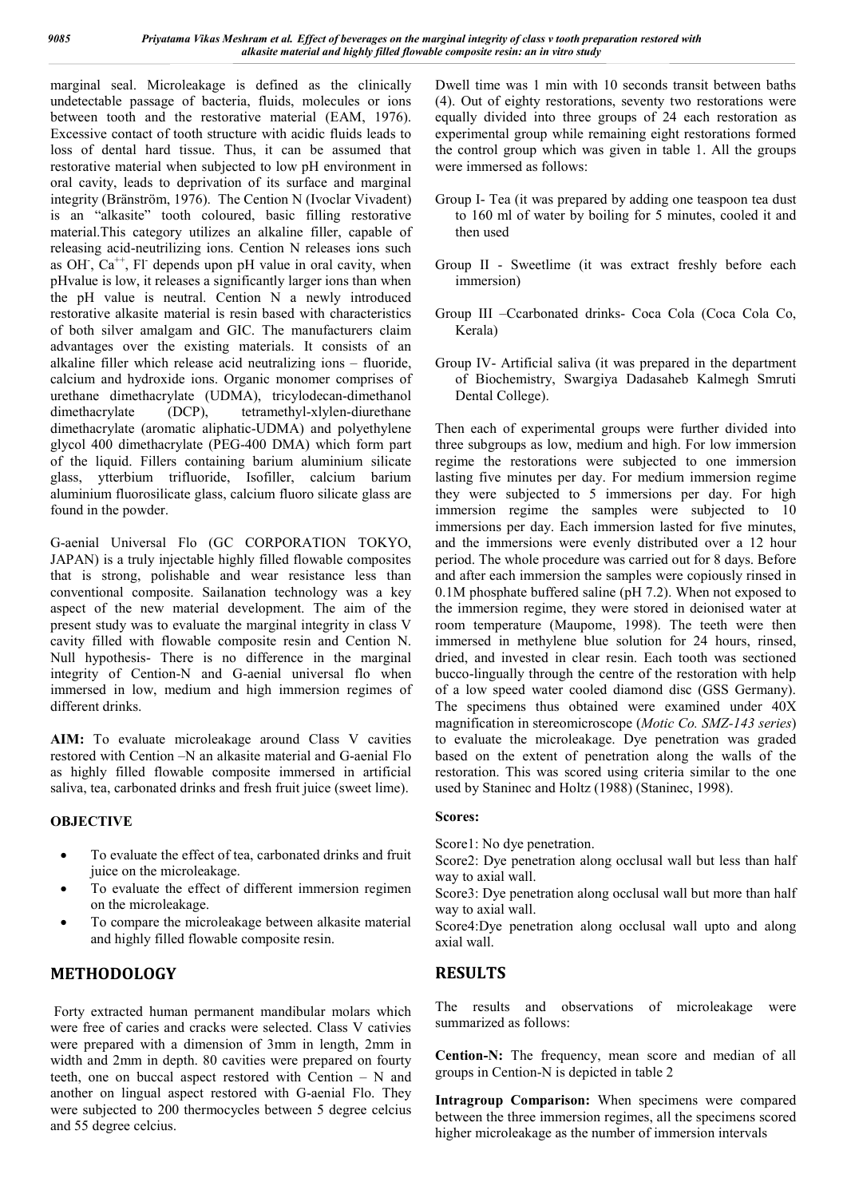marginal seal. Microleakage is defined as the clinically undetectable passage of bacteria, fluids, molecules or ions between tooth and the restorative material (EAM, 1976). Excessive contact of tooth structure with acidic fluids leads to loss of dental hard tissue. Thus, it can be assumed that restorative material when subjected to low pH environment in oral cavity, leads to deprivation of its surface and marginal integrity (Bränström, 1976). The Cention N (Ivoclar Vivadent) is an "alkasite" tooth coloured, basic filling restorative material.This category utilizes an alkaline filler, capable of releasing acid-neutrilizing ions. Cention N releases ions such as OH,  $Ca^{++}$ , Fl depends upon pH value in oral cavity, when pHvalue is low, it releases a significantly larger ions than when the pH value is neutral. Cention N a newly introduced restorative alkasite material is resin based with characteristics of both silver amalgam and GIC. The manufacturers claim advantages over the existing materials. It consists of an alkaline filler which release acid neutralizing ions – fluoride, calcium and hydroxide ions. Organic monomer comprises of urethane dimethacrylate (UDMA), tricylodecan-dimethanol dimethacrylate (DCP), tetramethyl-xlylen-diurethane dimethacrylate (aromatic aliphatic-UDMA) and polyethylene glycol 400 dimethacrylate (PEG-400 DMA) which form part of the liquid. Fillers containing barium aluminium silicate glass, ytterbium trifluoride, Isofiller, calcium barium aluminium fluorosilicate glass, calcium fluoro silicate glass are found in the powder.

G-aenial Universal Flo (GC CORPORATION TOKYO, JAPAN) is a truly injectable highly filled flowable composites that is strong, polishable and wear resistance less than conventional composite. Sailanation technology was a key aspect of the new material development. The aim of the present study was to evaluate the marginal integrity in class V cavity filled with flowable composite resin and Cention N. Null hypothesis- There is no difference in the marginal integrity of Cention-N and G-aenial universal flo when immersed in low, medium and high immersion regimes of different drinks.

**AIM:** To evaluate microleakage around Class V cavities restored with Cention –N an alkasite material and G-aenial Flo as highly filled flowable composite immersed in artificial saliva, tea, carbonated drinks and fresh fruit juice (sweet lime).

## **OBJECTIVE**

- To evaluate the effect of tea, carbonated drinks and fruit juice on the microleakage.
- To evaluate the effect of different immersion regimen on the microleakage.
- To compare the microleakage between alkasite material and highly filled flowable composite resin.

## **METHODOLOGY**

Forty extracted human permanent mandibular molars which were free of caries and cracks were selected. Class V cativies were prepared with a dimension of 3mm in length, 2mm in width and 2mm in depth. 80 cavities were prepared on fourty teeth, one on buccal aspect restored with Cention – N and another on lingual aspect restored with G-aenial Flo. They were subjected to 200 thermocycles between 5 degree celcius and 55 degree celcius.

Dwell time was 1 min with 10 seconds transit between baths (4). Out of eighty restorations, seventy two restorations were equally divided into three groups of 24 each restoration as experimental group while remaining eight restorations formed the control group which was given in table 1. All the groups were immersed as follows:

- Group I- Tea (it was prepared by adding one teaspoon tea dust to 160 ml of water by boiling for 5 minutes, cooled it and then used
- Group II Sweetlime (it was extract freshly before each immersion)
- Group III –Ccarbonated drinks- Coca Cola (Coca Cola Co, Kerala)
- Group IV- Artificial saliva (it was prepared in the department of Biochemistry, Swargiya Dadasaheb Kalmegh Smruti Dental College).

Then each of experimental groups were further divided into three subgroups as low, medium and high. For low immersion regime the restorations were subjected to one immersion lasting five minutes per day. For medium immersion regime they were subjected to 5 immersions per day. For high immersion regime the samples were subjected to 10 immersions per day. Each immersion lasted for five minutes, and the immersions were evenly distributed over a 12 hour period. The whole procedure was carried out for 8 days. Before and after each immersion the samples were copiously rinsed in 0.1M phosphate buffered saline (pH 7.2). When not exposed to the immersion regime, they were stored in deionised water at room temperature (Maupome, 1998). The teeth were then immersed in methylene blue solution for 24 hours, rinsed, dried, and invested in clear resin. Each tooth was sectioned bucco-lingually through the centre of the restoration with help of a low speed water cooled diamond disc (GSS Germany). The specimens thus obtained were examined under 40X magnification in stereomicroscope (*Motic Co. SMZ-143 series*) to evaluate the microleakage. Dye penetration was graded based on the extent of penetration along the walls of the restoration. This was scored using criteria similar to the one used by Staninec and Holtz (1988) (Staninec, 1998).

## **Scores:**

Score1: No dye penetration.

Score2: Dye penetration along occlusal wall but less than half way to axial wall.

Score3: Dye penetration along occlusal wall but more than half way to axial wall.

Score4:Dye penetration along occlusal wall upto and along axial wall.

## **RESULTS**

The results and observations of microleakage were summarized as follows:

**Cention-N:** The frequency, mean score and median of all groups in Cention-N is depicted in table 2

**Intragroup Comparison:** When specimens were compared between the three immersion regimes, all the specimens scored higher microleakage as the number of immersion intervals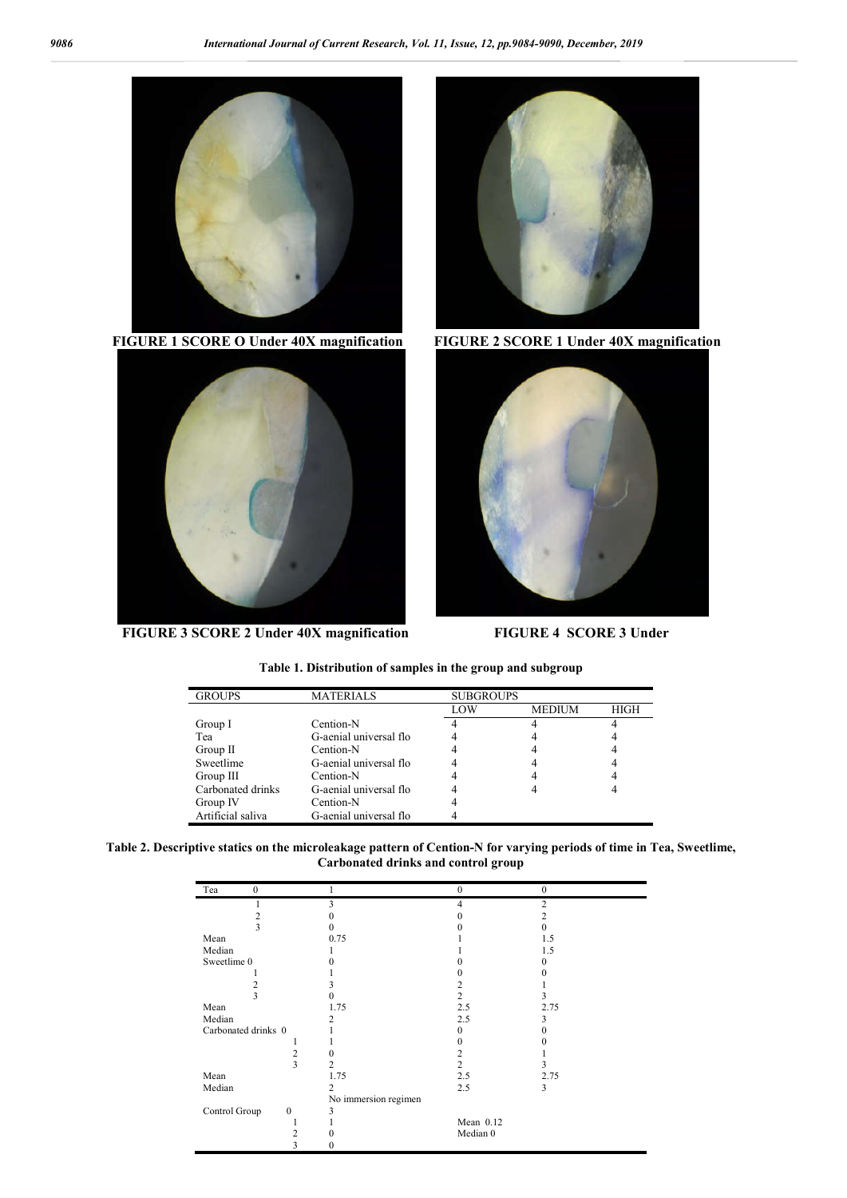

**FIGURE 3 SCORE 2 Under 40X magnification FIGURE 4 SCORE 3 Under**





| <b>GROUPS</b>     | <b>MATERIALS</b>       | <b>SUBGROUPS</b> |               |      |
|-------------------|------------------------|------------------|---------------|------|
|                   |                        |                  |               |      |
|                   |                        | LOW              | <b>MEDIUM</b> | HIGH |
| Group I           | Cention-N              |                  |               |      |
| Tea               | G-aenial universal flo |                  |               |      |
| Group II          | Cention-N              |                  |               |      |
| Sweetlime         | G-aenial universal flo |                  |               |      |
| Group III         | Cention-N              |                  |               |      |
| Carbonated drinks | G-aenial universal flo |                  |               |      |
| Group IV          | Cention-N              |                  |               |      |
| Artificial saliva | G-aenial universal flo |                  |               |      |

**Table 1. Distribution of samples in the group and subgroup**

**Table 2. Descriptive statics on the microleakage pattern of Cention-N for varying periods of time in Tea, Sweetlime, Carbonated drinks and control group**

| Tea<br>$\mathbf{0}$ |              |                      | $\theta$  | $\theta$       |
|---------------------|--------------|----------------------|-----------|----------------|
|                     |              | 3                    | 4         | $\overline{c}$ |
| 2                   |              |                      |           | 2              |
| 3                   |              | 0                    |           | 0              |
| Mean                |              | 0.75                 |           | 1.5            |
| Median              |              |                      |           | 1.5            |
| Sweetlime 0         |              |                      |           | $\Omega$       |
|                     |              |                      |           |                |
| 2                   |              |                      | 2         |                |
| 3                   |              | 0                    | 2         | 3              |
| Mean                |              | 1.75                 | 2.5       | 2.75           |
| Median              |              | 2                    | 2.5       | 3              |
| Carbonated drinks 0 |              |                      |           |                |
|                     |              |                      |           |                |
|                     | 2            |                      | 2         |                |
|                     | 3            | 2                    | 2         | 3              |
| Mean                |              | 1.75                 | 2.5       | 2.75           |
| Median              |              | 2                    | 2.5       | 3              |
|                     |              | No immersion regimen |           |                |
| Control Group       | $\mathbf{0}$ | 3                    |           |                |
|                     |              |                      | Mean 0.12 |                |
|                     | 2            |                      | Median 0  |                |
|                     | 3            |                      |           |                |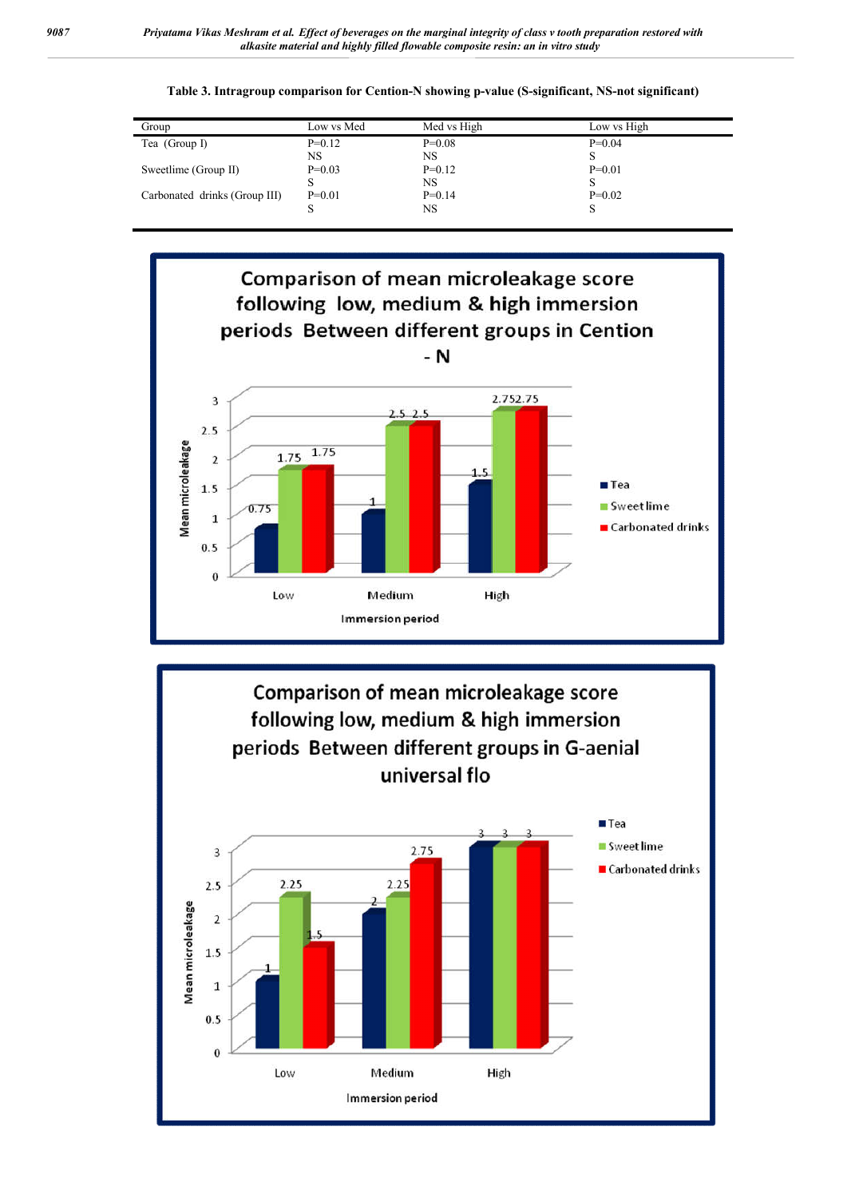**Table 3. Intragroup comparison for Cention-N showing p-value (S-significant, NS-not significant)**

| Group                         | Low vs Med | Med vs High | Low vs High |
|-------------------------------|------------|-------------|-------------|
| Tea $(Group I)$               | $P=0.12$   | $P=0.08$    | $P=0.04$    |
|                               | NS         | NS          |             |
| Sweetlime (Group II)          | $P=0.03$   | $P=0.12$    | $P=0.01$    |
|                               |            | NS          |             |
| Carbonated drinks (Group III) | $P=0.01$   | $P=0.14$    | $P=0.02$    |
|                               |            | NS          |             |
|                               |            |             |             |



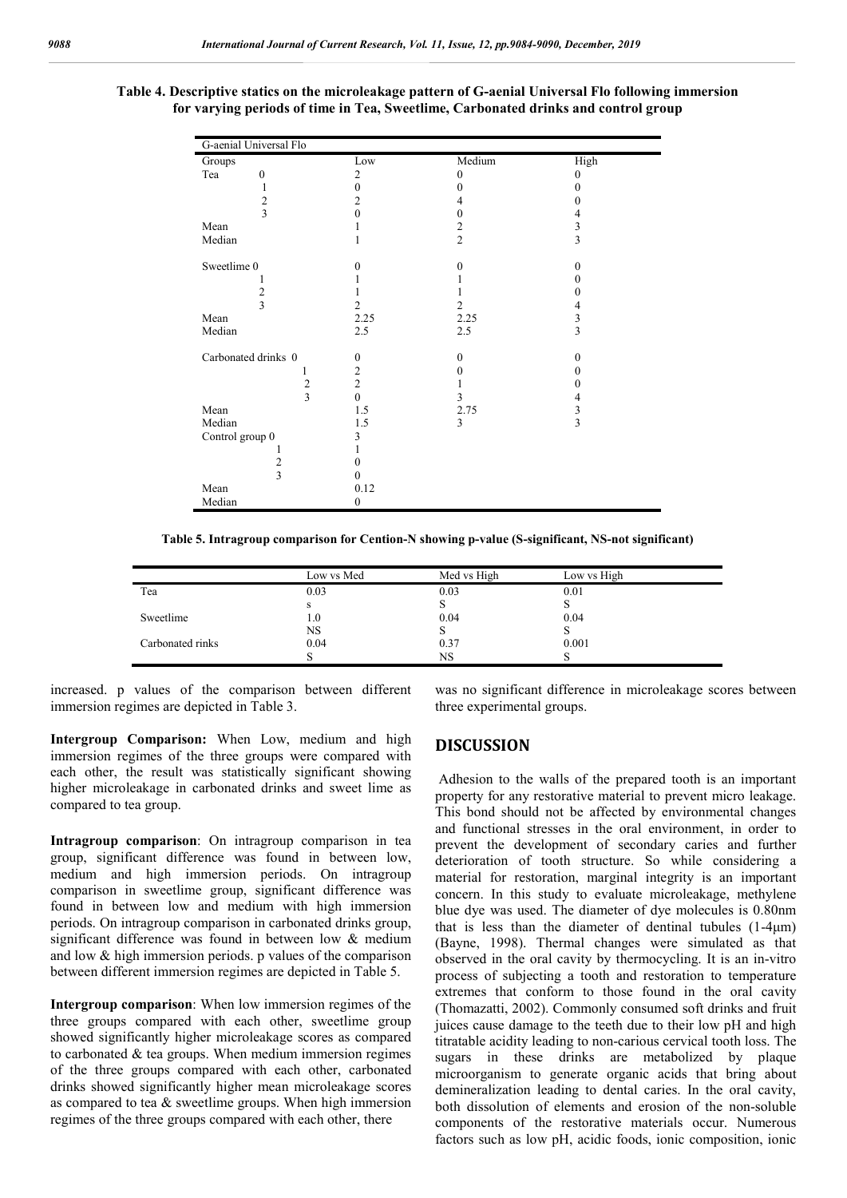## **Table 4. Descriptive statics on the microleakage pattern of G-aenial Universal Flo following immersion for varying periods of time in Tea, Sweetlime, Carbonated drinks and control group**

| G-aenial Universal Flo  |                  |                |                |
|-------------------------|------------------|----------------|----------------|
| Groups                  | Low              | Medium         | High           |
| Tea<br>$\boldsymbol{0}$ | $\overline{c}$   | $\theta$       | $\theta$       |
| 1                       | $\mathbf{0}$     | 0              | $\theta$       |
| $\frac{2}{3}$           | $\overline{2}$   | 4              | 0              |
|                         | $\theta$         | 0              | 4              |
| Mean                    | L                | $\frac{2}{2}$  | 3              |
| Median                  | 1                |                | $\overline{3}$ |
| Sweetlime 0             | $\Omega$         | $\theta$       | $\theta$       |
|                         |                  |                | $\theta$       |
| $\overline{2}$          | 1                |                | $\theta$       |
| 3                       | $\mathfrak{2}$   | $\overline{2}$ | 4              |
| Mean                    | 2.25             | 2.25           | 3              |
| Median                  | 2.5              | 2.5            | $\overline{3}$ |
| Carbonated drinks 0     | $\boldsymbol{0}$ | $\theta$       | $\mathbf{0}$   |
| 1                       | $\overline{c}$   | 0              | $\theta$       |
| $\sqrt{2}$              | $\overline{2}$   |                | $\Omega$       |
| $\overline{\mathbf{3}}$ | $\mathbf{0}$     | 3              | 4              |
| Mean                    | 1.5              | 2.75           | 3              |
| Median                  | 1.5              | 3              | 3              |
| Control group 0         | 3                |                |                |
|                         | 1                |                |                |
| $\overline{\mathbf{c}}$ | 0                |                |                |
| $\overline{\mathbf{3}}$ | 0                |                |                |
| Mean                    | 0.12             |                |                |
| Median                  | $\mathbf{0}$     |                |                |

**Table 5. Intragroup comparison for Cention-N showing p-value (S-significant, NS-not significant)**

|                  | Low vs Med | Med vs High | Low vs High |
|------------------|------------|-------------|-------------|
| Tea              | 0.03       | 0.03        | 0.01        |
|                  | s          |             |             |
| Sweetlime        | $1.0\,$    | 0.04        | 0.04        |
|                  | <b>NS</b>  |             | ъ.          |
| Carbonated rinks | 0.04       | 0.37        | 0.001       |
|                  | O          | NS          | C           |

increased. p values of the comparison between different immersion regimes are depicted in Table 3.

**Intergroup Comparison:** When Low, medium and high immersion regimes of the three groups were compared with each other, the result was statistically significant showing higher microleakage in carbonated drinks and sweet lime as compared to tea group.

**Intragroup comparison**: On intragroup comparison in tea group, significant difference was found in between low, medium and high immersion periods. On intragroup comparison in sweetlime group, significant difference was found in between low and medium with high immersion periods. On intragroup comparison in carbonated drinks group, significant difference was found in between low & medium and low & high immersion periods. p values of the comparison between different immersion regimes are depicted in Table 5.

**Intergroup comparison**: When low immersion regimes of the three groups compared with each other, sweetlime group showed significantly higher microleakage scores as compared to carbonated & tea groups. When medium immersion regimes of the three groups compared with each other, carbonated drinks showed significantly higher mean microleakage scores as compared to tea & sweetlime groups. When high immersion regimes of the three groups compared with each other, there

was no significant difference in microleakage scores between three experimental groups.

## **DISCUSSION**

Adhesion to the walls of the prepared tooth is an important property for any restorative material to prevent micro leakage. This bond should not be affected by environmental changes and functional stresses in the oral environment, in order to prevent the development of secondary caries and further deterioration of tooth structure. So while considering a material for restoration, marginal integrity is an important concern. In this study to evaluate microleakage, methylene blue dye was used. The diameter of dye molecules is 0.80nm that is less than the diameter of dentinal tubules (1-4μm) (Bayne, 1998). Thermal changes were simulated as that observed in the oral cavity by thermocycling. It is an in-vitro process of subjecting a tooth and restoration to temperature extremes that conform to those found in the oral cavity (Thomazatti, 2002). Commonly consumed soft drinks and fruit juices cause damage to the teeth due to their low pH and high titratable acidity leading to non-carious cervical tooth loss. The sugars in these drinks are metabolized by plaque microorganism to generate organic acids that bring about demineralization leading to dental caries. In the oral cavity, both dissolution of elements and erosion of the non-soluble components of the restorative materials occur. Numerous factors such as low pH, acidic foods, ionic composition, ionic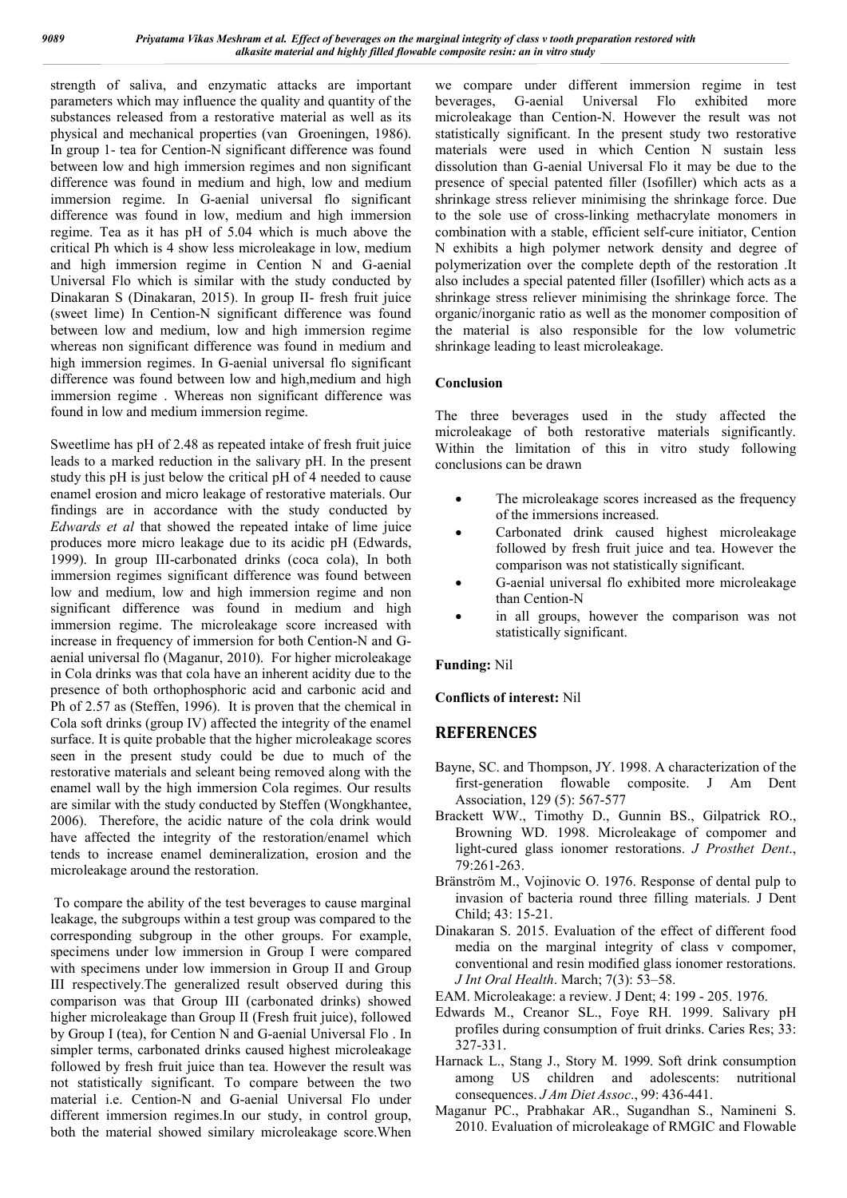strength of saliva, and enzymatic attacks are important parameters which may influence the quality and quantity of the substances released from a restorative material as well as its physical and mechanical properties (van Groeningen, 1986). In group 1- tea for Cention-N significant difference was found between low and high immersion regimes and non significant difference was found in medium and high, low and medium immersion regime. In G-aenial universal flo significant difference was found in low, medium and high immersion regime. Tea as it has pH of 5.04 which is much above the critical Ph which is 4 show less microleakage in low, medium and high immersion regime in Cention N and G-aenial Universal Flo which is similar with the study conducted by Dinakaran S (Dinakaran, 2015). In group II- fresh fruit juice (sweet lime) In Cention-N significant difference was found between low and medium, low and high immersion regime whereas non significant difference was found in medium and high immersion regimes. In G-aenial universal flo significant difference was found between low and high,medium and high immersion regime . Whereas non significant difference was found in low and medium immersion regime.

Sweetlime has pH of 2.48 as repeated intake of fresh fruit juice leads to a marked reduction in the salivary pH. In the present study this pH is just below the critical pH of 4 needed to cause enamel erosion and micro leakage of restorative materials. Our findings are in accordance with the study conducted by *Edwards et al* that showed the repeated intake of lime juice produces more micro leakage due to its acidic pH (Edwards, 1999). In group III-carbonated drinks (coca cola), In both immersion regimes significant difference was found between low and medium, low and high immersion regime and non significant difference was found in medium and high immersion regime. The microleakage score increased with increase in frequency of immersion for both Cention-N and Gaenial universal flo (Maganur, 2010). For higher microleakage in Cola drinks was that cola have an inherent acidity due to the presence of both orthophosphoric acid and carbonic acid and Ph of 2.57 as (Steffen, 1996). It is proven that the chemical in Cola soft drinks (group IV) affected the integrity of the enamel surface. It is quite probable that the higher microleakage scores seen in the present study could be due to much of the restorative materials and seleant being removed along with the enamel wall by the high immersion Cola regimes. Our results are similar with the study conducted by Steffen (Wongkhantee, 2006). Therefore, the acidic nature of the cola drink would have affected the integrity of the restoration/enamel which tends to increase enamel demineralization, erosion and the microleakage around the restoration.

To compare the ability of the test beverages to cause marginal leakage, the subgroups within a test group was compared to the corresponding subgroup in the other groups. For example, specimens under low immersion in Group I were compared with specimens under low immersion in Group II and Group III respectively.The generalized result observed during this comparison was that Group III (carbonated drinks) showed higher microleakage than Group II (Fresh fruit juice), followed by Group I (tea), for Cention N and G-aenial Universal Flo . In simpler terms, carbonated drinks caused highest microleakage followed by fresh fruit juice than tea. However the result was not statistically significant. To compare between the two material i.e. Cention-N and G-aenial Universal Flo under different immersion regimes.In our study, in control group, both the material showed similary microleakage score.When we compare under different immersion regime in test beverages, G-aenial Universal Flo exhibited more microleakage than Cention-N. However the result was not statistically significant. In the present study two restorative materials were used in which Cention N sustain less dissolution than G-aenial Universal Flo it may be due to the presence of special patented filler (Isofiller) which acts as a shrinkage stress reliever minimising the shrinkage force. Due to the sole use of cross-linking methacrylate monomers in combination with a stable, efficient self-cure initiator, Cention N exhibits a high polymer network density and degree of polymerization over the complete depth of the restoration .It also includes a special patented filler (Isofiller) which acts as a shrinkage stress reliever minimising the shrinkage force. The organic/inorganic ratio as well as the monomer composition of the material is also responsible for the low volumetric shrinkage leading to least microleakage.

## **Conclusion**

The three beverages used in the study affected the microleakage of both restorative materials significantly. Within the limitation of this in vitro study following conclusions can be drawn

- The microleakage scores increased as the frequency of the immersions increased.
- Carbonated drink caused highest microleakage followed by fresh fruit juice and tea. However the comparison was not statistically significant.
- G-aenial universal flo exhibited more microleakage than Cention-N
- in all groups, however the comparison was not statistically significant.

#### **Funding:** Nil

**Conflicts of interest:** Nil

## **REFERENCES**

- Bayne, SC. and Thompson, JY. 1998. A characterization of the first-generation flowable composite. J Am Dent Association, 129 (5): 567-577
- Brackett WW., Timothy D., Gunnin BS., Gilpatrick RO., Browning WD. 1998. Microleakage of compomer and light-cured glass ionomer restorations. *J Prosthet Dent*., 79:261-263.
- Bränström M., Vojinovic O. 1976. Response of dental pulp to invasion of bacteria round three filling materials. J Dent Child; 43: 15-21.
- Dinakaran S. 2015. Evaluation of the effect of different food media on the marginal integrity of class v compomer, conventional and resin modified glass ionomer restorations. *J Int Oral Health*. March; 7(3): 53–58.
- EAM. Microleakage: a review. J Dent; 4: 199 205. 1976.
- Edwards M., Creanor SL., Foye RH. 1999. Salivary pH profiles during consumption of fruit drinks. Caries Res; 33: 327-331.
- Harnack L., Stang J., Story M. 1999. Soft drink consumption among US children and adolescents: nutritional consequences. *J Am Diet Assoc*., 99: 436-441.
- Maganur PC., Prabhakar AR., Sugandhan S., Namineni S. 2010. Evaluation of microleakage of RMGIC and Flowable